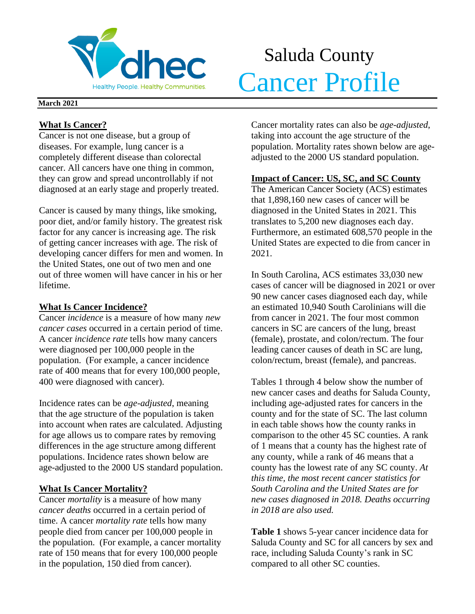

# Saluda County Meridity People. Healthy Communities. Cancer Profile

#### **March 2021**

## **What Is Cancer?**

Cancer is not one disease, but a group of diseases. For example, lung cancer is a completely different disease than colorectal cancer. All cancers have one thing in common, they can grow and spread uncontrollably if not diagnosed at an early stage and properly treated.

Cancer is caused by many things, like smoking, poor diet, and/or family history. The greatest risk factor for any cancer is increasing age. The risk of getting cancer increases with age. The risk of developing cancer differs for men and women. In the United States, one out of two men and one out of three women will have cancer in his or her lifetime.

## **What Is Cancer Incidence?**

Cancer *incidence* is a measure of how many *new cancer cases* occurred in a certain period of time. A cancer *incidence rate* tells how many cancers were diagnosed per 100,000 people in the population. (For example, a cancer incidence rate of 400 means that for every 100,000 people, 400 were diagnosed with cancer).

Incidence rates can be *age-adjusted*, meaning that the age structure of the population is taken into account when rates are calculated. Adjusting for age allows us to compare rates by removing differences in the age structure among different populations. Incidence rates shown below are age-adjusted to the 2000 US standard population.

## **What Is Cancer Mortality?**

Cancer *mortality* is a measure of how many *cancer deaths* occurred in a certain period of time. A cancer *mortality rate* tells how many people died from cancer per 100,000 people in the population. (For example, a cancer mortality rate of 150 means that for every 100,000 people in the population, 150 died from cancer).

Cancer mortality rates can also be *age-adjusted*, taking into account the age structure of the population. Mortality rates shown below are ageadjusted to the 2000 US standard population.

## **Impact of Cancer: US, SC, and SC County**

The American Cancer Society (ACS) estimates that 1,898,160 new cases of cancer will be diagnosed in the United States in 2021. This translates to 5,200 new diagnoses each day. Furthermore, an estimated 608,570 people in the United States are expected to die from cancer in 2021.

In South Carolina, ACS estimates 33,030 new cases of cancer will be diagnosed in 2021 or over 90 new cancer cases diagnosed each day, while an estimated 10,940 South Carolinians will die from cancer in 2021. The four most common cancers in SC are cancers of the lung, breast (female), prostate, and colon/rectum. The four leading cancer causes of death in SC are lung, colon/rectum, breast (female), and pancreas.

Tables 1 through 4 below show the number of new cancer cases and deaths for Saluda County, including age-adjusted rates for cancers in the county and for the state of SC. The last column in each table shows how the county ranks in comparison to the other 45 SC counties. A rank of 1 means that a county has the highest rate of any county, while a rank of 46 means that a county has the lowest rate of any SC county. *At this time, the most recent cancer statistics for South Carolina and the United States are for new cases diagnosed in 2018. Deaths occurring in 2018 are also used.*

**Table 1** shows 5-year cancer incidence data for Saluda County and SC for all cancers by sex and race, including Saluda County's rank in SC compared to all other SC counties.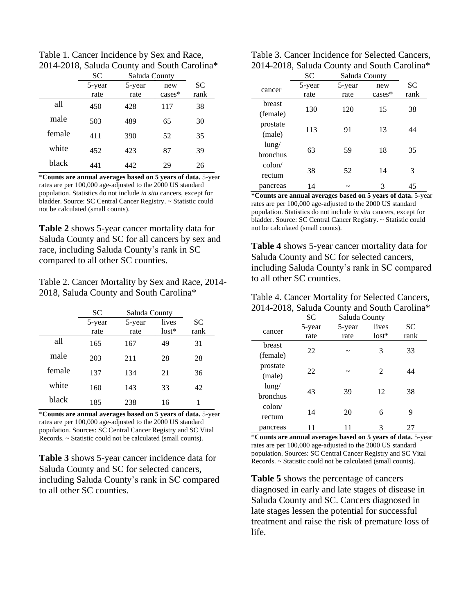Table 1. Cancer Incidence by Sex and Race, 2014-2018, Saluda County and South Carolina\*

|        | <b>SC</b> | Saluda County |           |      |
|--------|-----------|---------------|-----------|------|
|        | 5-year    | 5-year        | new       | SC   |
|        | rate      | rate          | $cases^*$ | rank |
| all    | 450       | 428           | 117       | 38   |
| male   | 503       | 489           | 65        | 30   |
| female | 411       | 390           | 52        | 35   |
| white  | 452       | 423           | 87        | 39   |
| black  | 441       | 442           | 29        | 26   |

\***Counts are annual averages based on 5 years of data.** 5-year rates are per 100,000 age-adjusted to the 2000 US standard population. Statistics do not include *in situ* cancers, except for bladder. Source: SC Central Cancer Registry. ~ Statistic could not be calculated (small counts).

**Table 2** shows 5-year cancer mortality data for Saluda County and SC for all cancers by sex and race, including Saluda County's rank in SC compared to all other SC counties.

Table 2. Cancer Mortality by Sex and Race, 2014- 2018, Saluda County and South Carolina\*

|        | SC             | Saluda County  |                  |                   |
|--------|----------------|----------------|------------------|-------------------|
|        | 5-year<br>rate | 5-year<br>rate | lives<br>$lost*$ | <b>SC</b><br>rank |
| all    | 165            | 167            | 49               | 31                |
| male   | 203            | 211            | 28               | 28                |
| female | 137            | 134            | 21               | 36                |
| white  | 160            | 143            | 33               | 42                |
| black  | 185            | 238            | 16               |                   |

\***Counts are annual averages based on 5 years of data.** 5-year rates are per 100,000 age-adjusted to the 2000 US standard population. Sources: SC Central Cancer Registry and SC Vital Records. ~ Statistic could not be calculated (small counts).

**Table 3** shows 5-year cancer incidence data for Saluda County and SC for selected cancers, including Saluda County's rank in SC compared to all other SC counties.

| Table 3. Cancer Incidence for Selected Cancers, |
|-------------------------------------------------|
| 2014-2018, Saluda County and South Carolina*    |

|                           | SC             | Saluda County         |                 |                   |  |
|---------------------------|----------------|-----------------------|-----------------|-------------------|--|
| cancer                    | 5-year<br>rate | 5-year<br>rate        | new<br>$cases*$ | <b>SC</b><br>rank |  |
| breast<br>(female)        | 130            | 120                   | 15              | 38                |  |
| prostate<br>(male)        | 113            | 91                    | 13              | 44                |  |
| $l$ ung/<br>bronchus      | 63             | 59                    | 18              | 35                |  |
| $\text{colon}/$<br>rectum | 38             | 52                    | 14              | 3                 |  |
| pancreas                  | 14             | $\tilde{\phantom{a}}$ | 3               | 45                |  |

\***Counts are annual averages based on 5 years of data.** 5-year rates are per 100,000 age-adjusted to the 2000 US standard population. Statistics do not include *in situ* cancers, except for bladder. Source: SC Central Cancer Registry. ~ Statistic could not be calculated (small counts).

**Table 4** shows 5-year cancer mortality data for Saluda County and SC for selected cancers, including Saluda County's rank in SC compared to all other SC counties.

| Table 4. Cancer Mortality for Selected Cancers, |
|-------------------------------------------------|
| 2014-2018, Saluda County and South Carolina*    |

|                           | SС             | Saluda County  |                  |                   |
|---------------------------|----------------|----------------|------------------|-------------------|
| cancer                    | 5-year<br>rate | 5-year<br>rate | lives<br>$lost*$ | <b>SC</b><br>rank |
| breast<br>(female)        | 22             | ~              | 3                | 33                |
| prostate<br>(male)        | 22             | ~              | $\mathfrak{D}$   | 44                |
| $l$ ung/<br>bronchus      | 43             | 39             | 12               | 38                |
| $\text{colon}/$<br>rectum | 14             | 20             | 6                | 9                 |
| pancreas                  |                |                | 3                | 27                |

\***Counts are annual averages based on 5 years of data.** 5-year rates are per 100,000 age-adjusted to the 2000 US standard population. Sources: SC Central Cancer Registry and SC Vital Records. ~ Statistic could not be calculated (small counts).

**Table 5** shows the percentage of cancers diagnosed in early and late stages of disease in Saluda County and SC. Cancers diagnosed in late stages lessen the potential for successful treatment and raise the risk of premature loss of life.